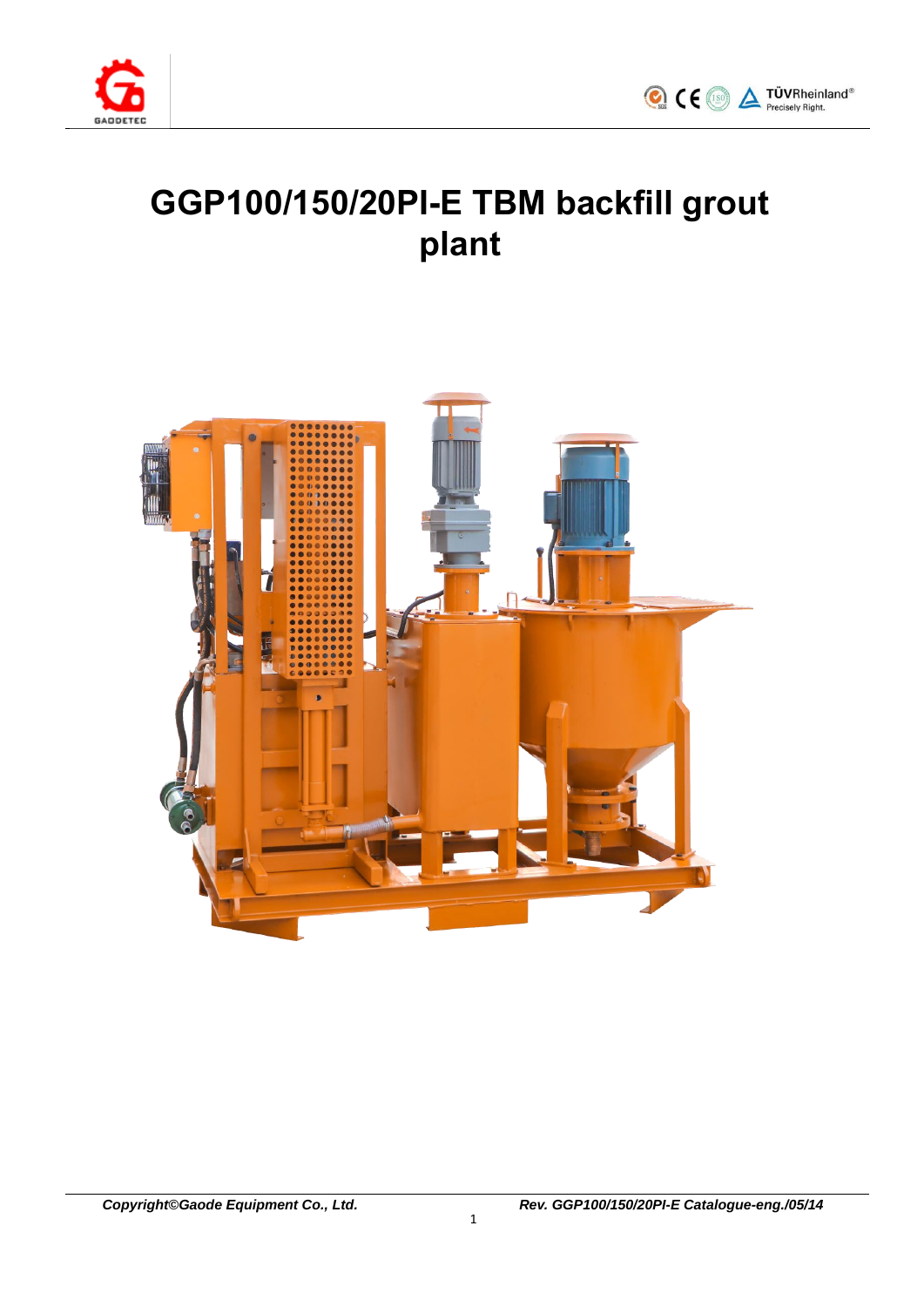



# **GGP100/150/20PI-E TBM backfill grout plant**

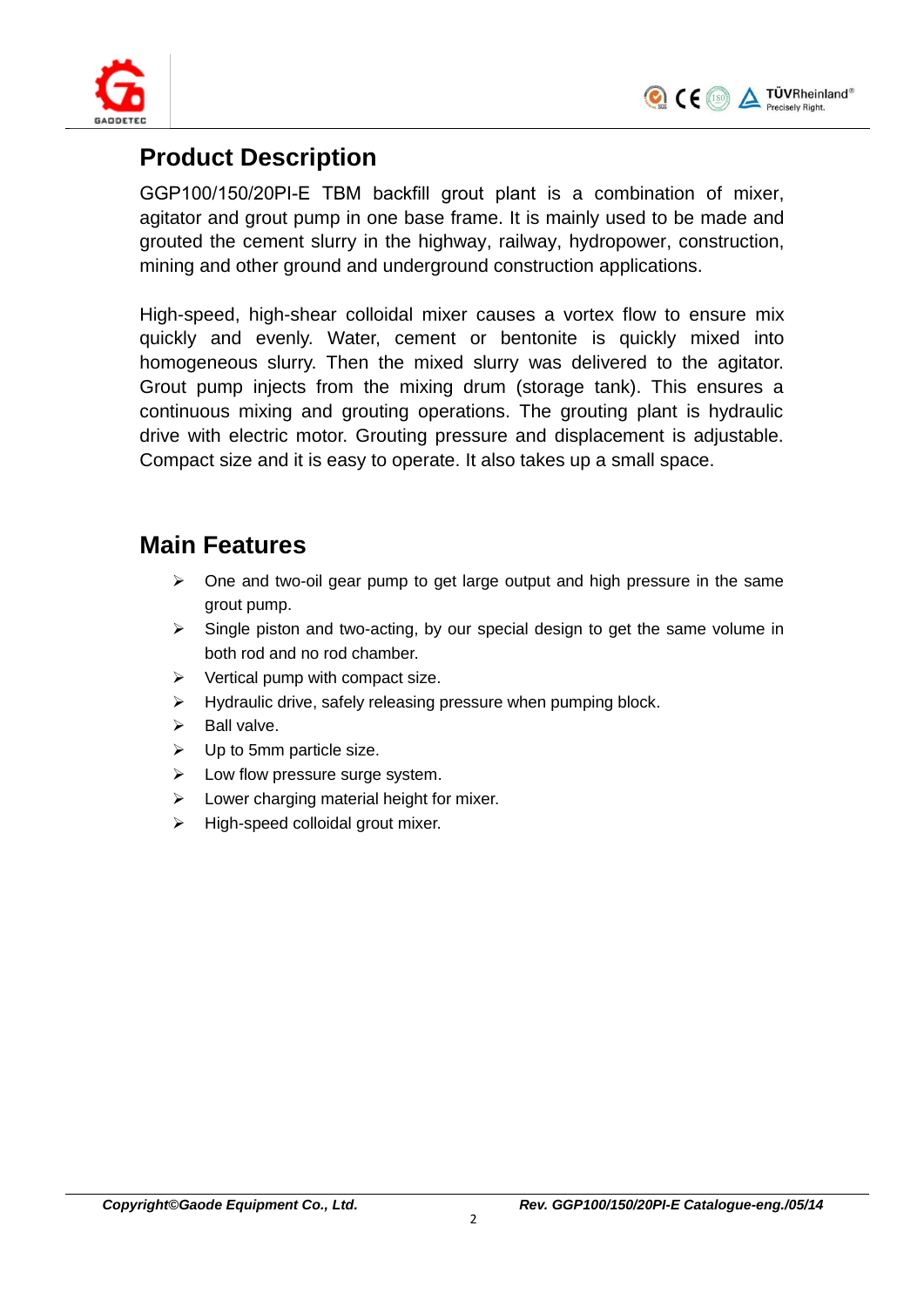



### **Product Description**

GGP100/150/20PI-E TBM backfill grout plant is a combination of mixer, agitator and grout pump in one base frame. It is mainly used to be made and grouted the cement slurry in the highway, railway, hydropower, construction, mining and other ground and underground construction applications.

High-speed, high-shear colloidal mixer causes a vortex flow to ensure mix quickly and evenly. Water, cement or bentonite is quickly mixed into homogeneous slurry. Then the mixed slurry was delivered to the agitator. Grout pump injects from the mixing drum (storage tank). This ensures a continuous mixing and grouting operations. The grouting plant is hydraulic drive with electric motor. Grouting pressure and displacement is adjustable. Compact size and it is easy to operate. It also takes up a small space.

### **Main Features**

- $\triangleright$  One and two-oil gear pump to get large output and high pressure in the same grout pump.
- $\triangleright$  Single piston and two-acting, by our special design to get the same volume in both rod and no rod chamber.
- $\triangleright$  Vertical pump with compact size.
- $\triangleright$  Hydraulic drive, safely releasing pressure when pumping block.
- $\triangleright$  Ball valve.
- $\triangleright$  Up to 5mm particle size.
- $\triangleright$  Low flow pressure surge system.
- $\triangleright$  Lower charging material height for mixer.
- $\triangleright$  High-speed colloidal grout mixer.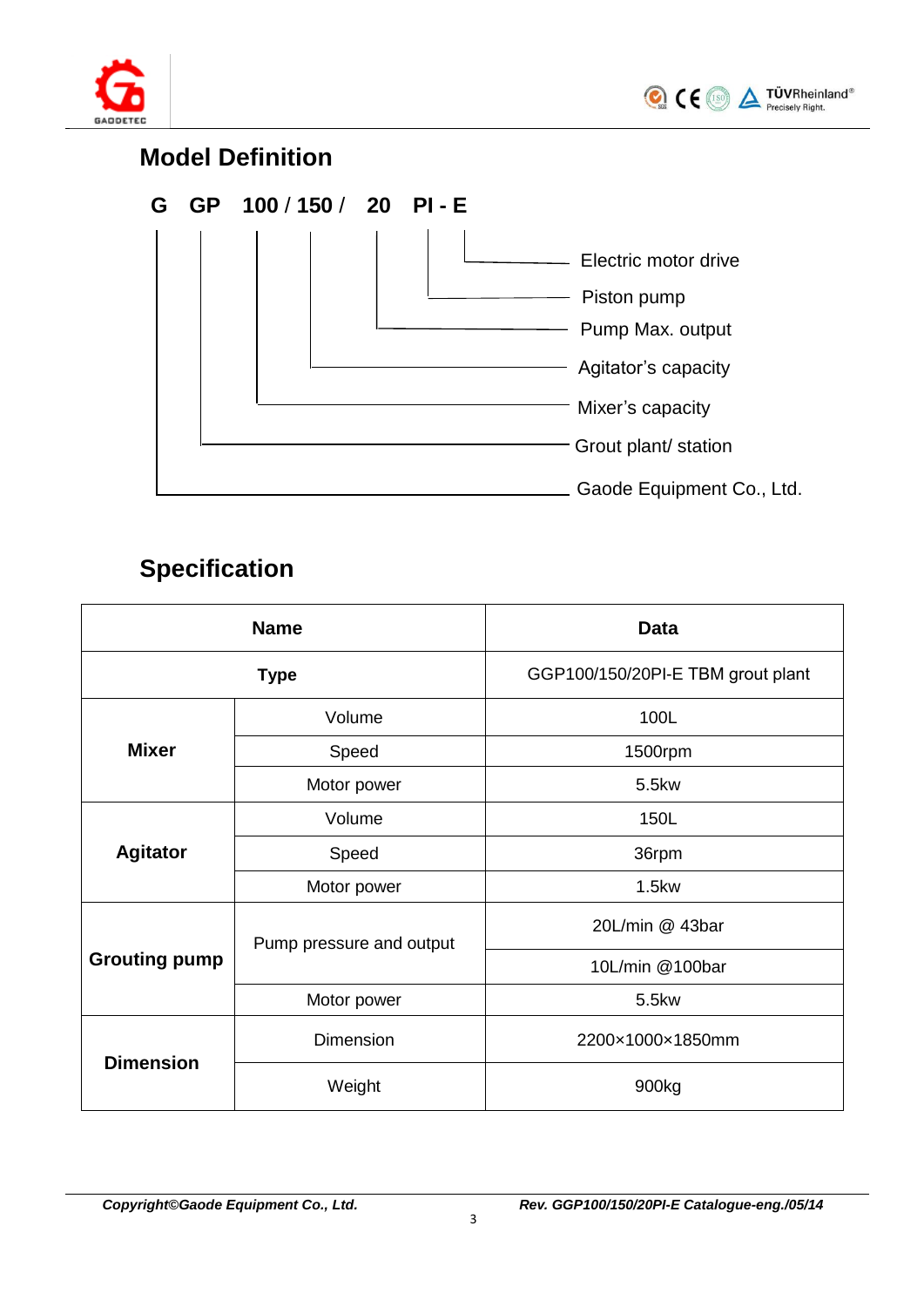



#### **Model Definition**



## **Specification**

| <b>Name</b>          |                          | <b>Data</b>                       |
|----------------------|--------------------------|-----------------------------------|
| <b>Type</b>          |                          | GGP100/150/20PI-E TBM grout plant |
| <b>Mixer</b>         | Volume                   | 100L                              |
|                      | Speed                    | 1500rpm                           |
|                      | Motor power              | 5.5kw                             |
| <b>Agitator</b>      | Volume                   | 150L                              |
|                      | Speed                    | 36rpm                             |
|                      | Motor power              | 1.5kw                             |
| <b>Grouting pump</b> | Pump pressure and output | 20L/min @ 43bar                   |
|                      |                          | 10L/min @100bar                   |
|                      | Motor power              | 5.5kw                             |
| <b>Dimension</b>     | Dimension                | 2200×1000×1850mm                  |
|                      | Weight                   | 900kg                             |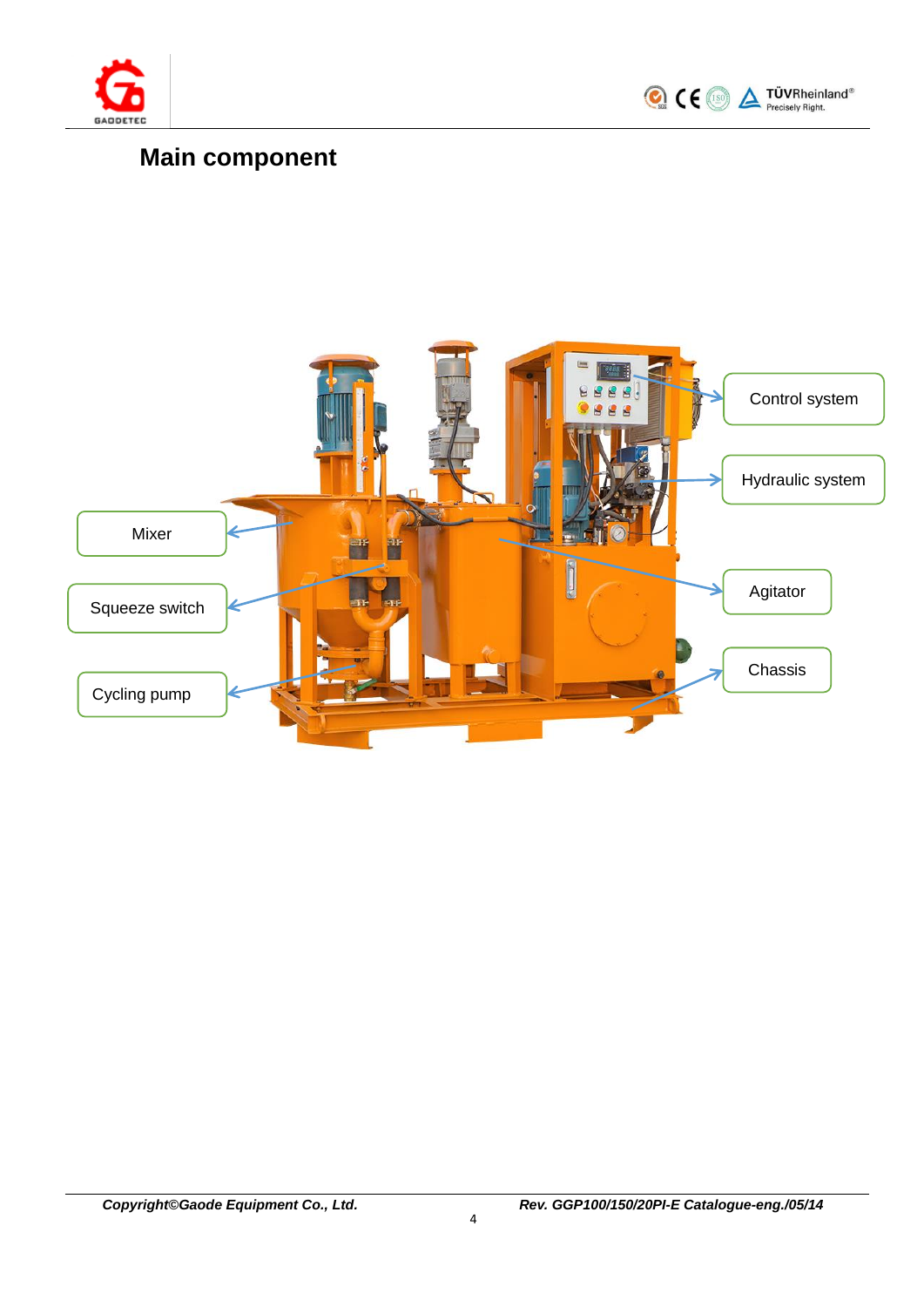



## **Main component**

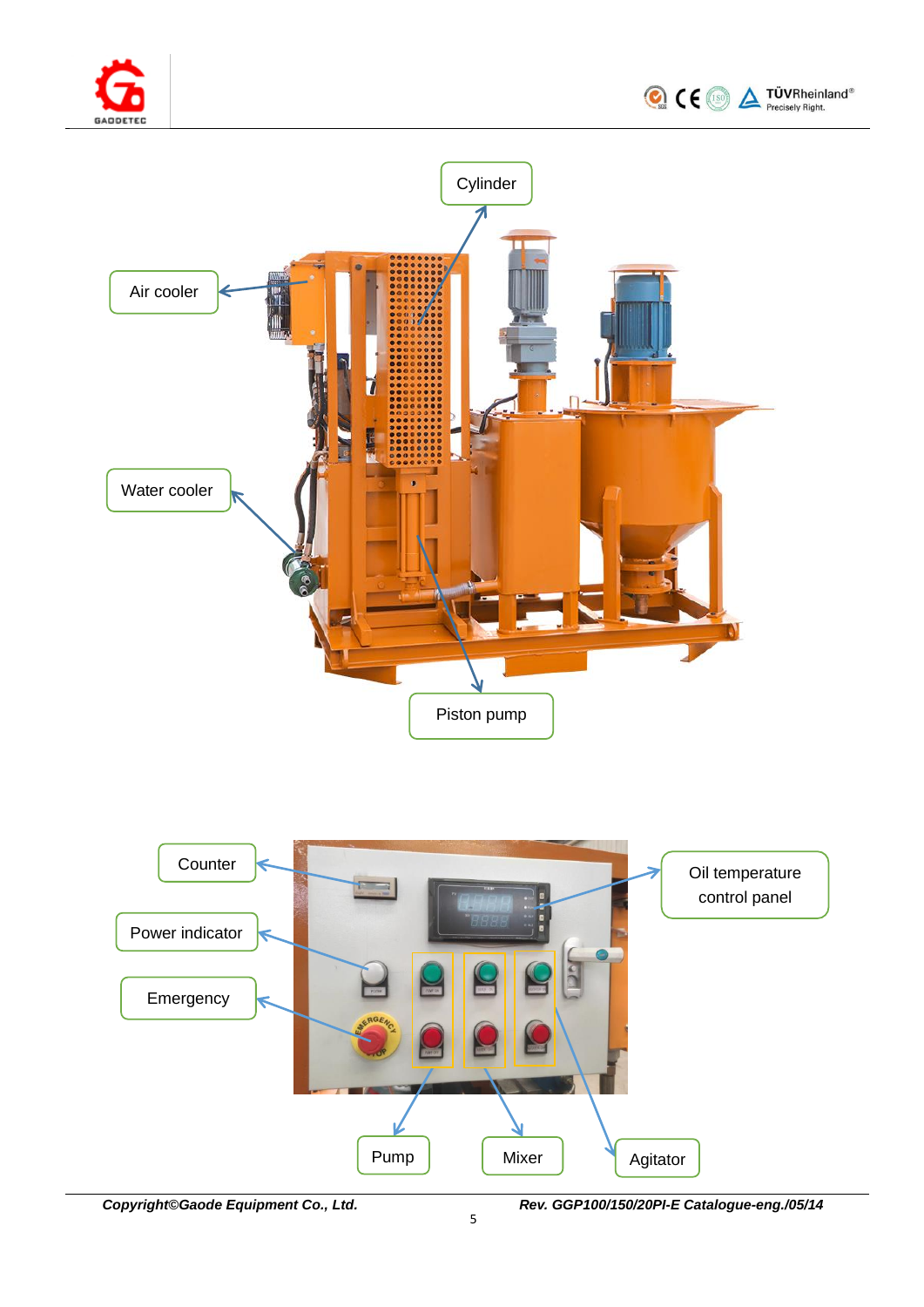



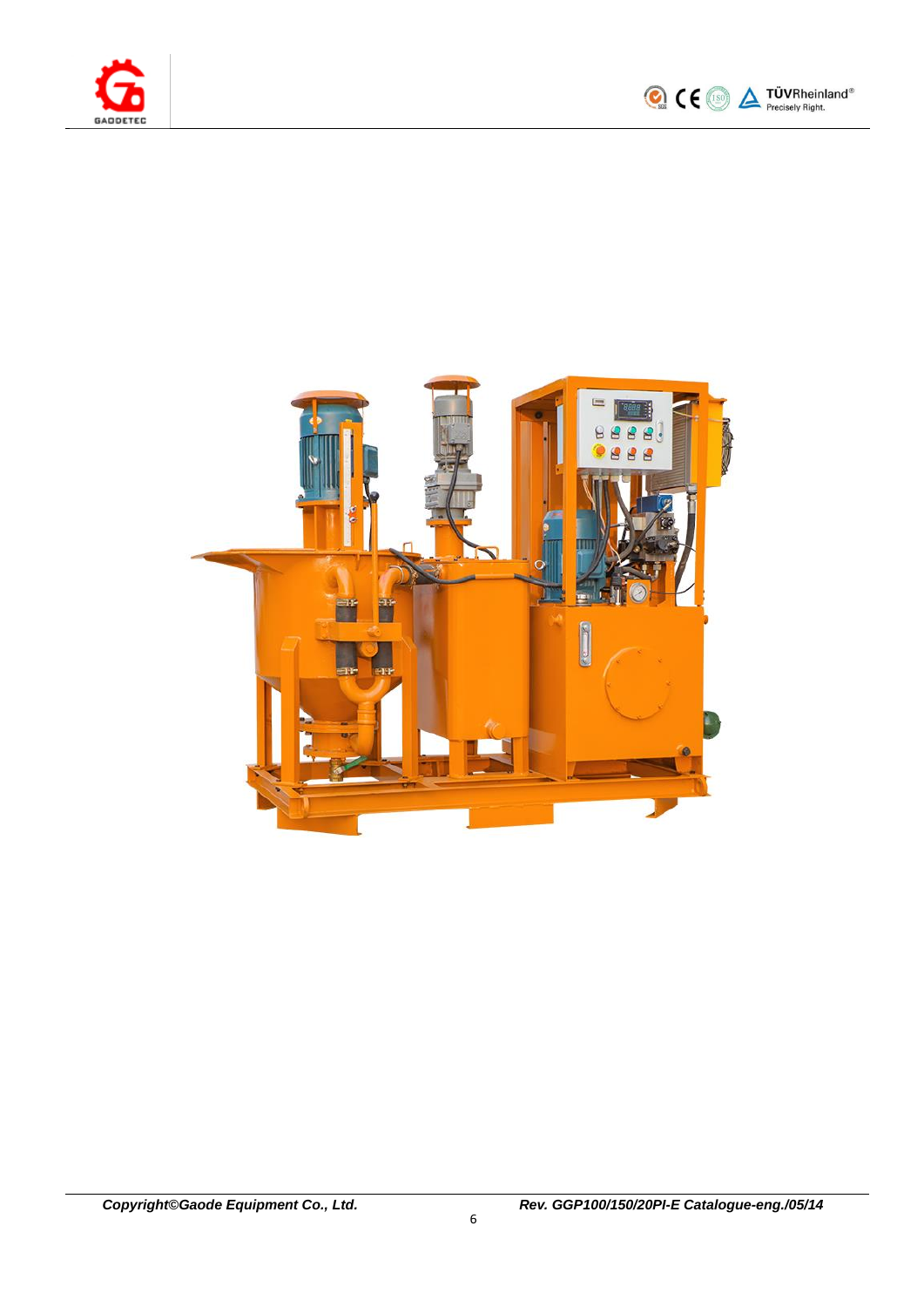